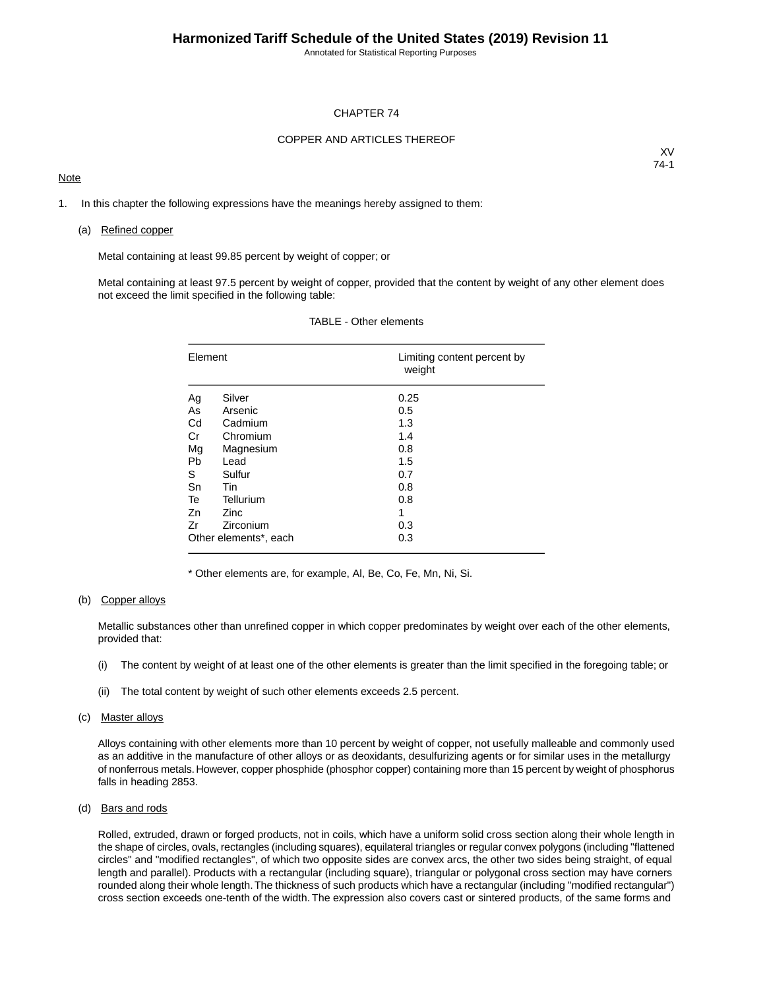#### CHAPTER 74

### COPPER AND ARTICLES THEREOF

## **Note**

XV 74-1

1. In this chapter the following expressions have the meanings hereby assigned to them:

#### (a) Refined copper

Metal containing at least 99.85 percent by weight of copper; or

Metal containing at least 97.5 percent by weight of copper, provided that the content by weight of any other element does not exceed the limit specified in the following table:

| Element   |                       | Limiting content percent by<br>weight |
|-----------|-----------------------|---------------------------------------|
| Ag        | Silver                | 0.25                                  |
| As        | Arsenic               | 0.5                                   |
| Cd        | Cadmium               | 1.3                                   |
| Cr        | Chromium              | 1.4                                   |
| Mg        | Magnesium             | 0.8                                   |
| <b>Pb</b> | Lead                  | 1.5                                   |
| S         | Sulfur                | 0.7                                   |
| Sn        | <b>Tin</b>            | 0.8                                   |
| Te        | Tellurium             | 0.8                                   |
| Zn        | <b>Zinc</b>           | 1                                     |
| Zr        | Zirconium             | 0.3                                   |
|           | Other elements*, each | 0.3                                   |

### TABLE - Other elements

\* Other elements are, for example, Al, Be, Co, Fe, Mn, Ni, Si.

### (b) Copper alloys

Metallic substances other than unrefined copper in which copper predominates by weight over each of the other elements, provided that:

- (i) The content by weight of at least one of the other elements is greater than the limit specified in the foregoing table; or
- (ii) The total content by weight of such other elements exceeds 2.5 percent.

## (c) Master alloys

Alloys containing with other elements more than 10 percent by weight of copper, not usefully malleable and commonly used as an additive in the manufacture of other alloys or as deoxidants, desulfurizing agents or for similar uses in the metallurgy of nonferrous metals. However, copper phosphide (phosphor copper) containing more than 15 percent by weight of phosphorus falls in heading 2853.

### (d) Bars and rods

Rolled, extruded, drawn or forged products, not in coils, which have a uniform solid cross section along their whole length in the shape of circles, ovals, rectangles (including squares), equilateral triangles or regular convex polygons (including "flattened circles" and "modified rectangles", of which two opposite sides are convex arcs, the other two sides being straight, of equal length and parallel). Products with a rectangular (including square), triangular or polygonal cross section may have corners rounded along their whole length.The thickness of such products which have a rectangular (including "modified rectangular") cross section exceeds one-tenth of the width. The expression also covers cast or sintered products, of the same forms and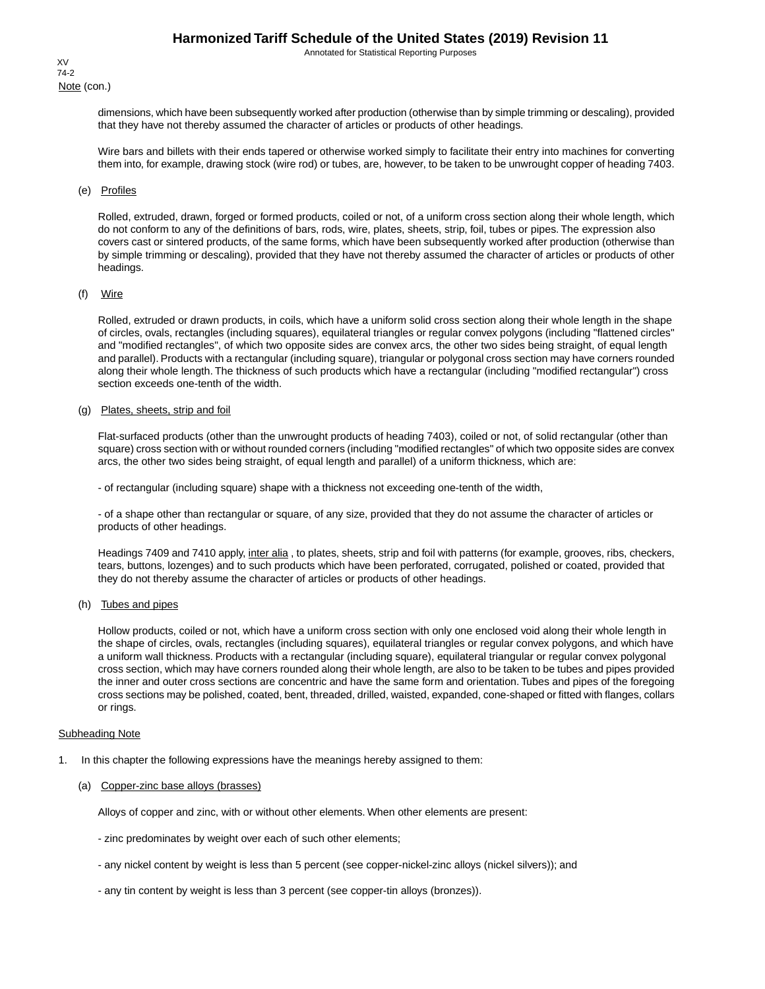Note (con.) XV 74-2

> dimensions, which have been subsequently worked after production (otherwise than by simple trimming or descaling), provided that they have not thereby assumed the character of articles or products of other headings.

> Wire bars and billets with their ends tapered or otherwise worked simply to facilitate their entry into machines for converting them into, for example, drawing stock (wire rod) or tubes, are, however, to be taken to be unwrought copper of heading 7403.

### (e) Profiles

Rolled, extruded, drawn, forged or formed products, coiled or not, of a uniform cross section along their whole length, which do not conform to any of the definitions of bars, rods, wire, plates, sheets, strip, foil, tubes or pipes. The expression also covers cast or sintered products, of the same forms, which have been subsequently worked after production (otherwise than by simple trimming or descaling), provided that they have not thereby assumed the character of articles or products of other headings.

## (f) Wire

Rolled, extruded or drawn products, in coils, which have a uniform solid cross section along their whole length in the shape of circles, ovals, rectangles (including squares), equilateral triangles or regular convex polygons (including "flattened circles" and "modified rectangles", of which two opposite sides are convex arcs, the other two sides being straight, of equal length and parallel). Products with a rectangular (including square), triangular or polygonal cross section may have corners rounded along their whole length. The thickness of such products which have a rectangular (including "modified rectangular") cross section exceeds one-tenth of the width.

### (g) Plates, sheets, strip and foil

Flat-surfaced products (other than the unwrought products of heading 7403), coiled or not, of solid rectangular (other than square) cross section with or without rounded corners (including "modified rectangles" of which two opposite sides are convex arcs, the other two sides being straight, of equal length and parallel) of a uniform thickness, which are:

- of rectangular (including square) shape with a thickness not exceeding one-tenth of the width,

- of a shape other than rectangular or square, of any size, provided that they do not assume the character of articles or products of other headings.

Headings 7409 and 7410 apply, inter alia, to plates, sheets, strip and foil with patterns (for example, grooves, ribs, checkers, tears, buttons, lozenges) and to such products which have been perforated, corrugated, polished or coated, provided that they do not thereby assume the character of articles or products of other headings.

## (h) Tubes and pipes

Hollow products, coiled or not, which have a uniform cross section with only one enclosed void along their whole length in the shape of circles, ovals, rectangles (including squares), equilateral triangles or regular convex polygons, and which have a uniform wall thickness. Products with a rectangular (including square), equilateral triangular or regular convex polygonal cross section, which may have corners rounded along their whole length, are also to be taken to be tubes and pipes provided the inner and outer cross sections are concentric and have the same form and orientation. Tubes and pipes of the foregoing cross sections may be polished, coated, bent, threaded, drilled, waisted, expanded, cone-shaped or fitted with flanges, collars or rings.

#### Subheading Note

- 1. In this chapter the following expressions have the meanings hereby assigned to them:
	- (a) Copper-zinc base alloys (brasses)

Alloys of copper and zinc, with or without other elements. When other elements are present:

- zinc predominates by weight over each of such other elements;
- any nickel content by weight is less than 5 percent (see copper-nickel-zinc alloys (nickel silvers)); and
- any tin content by weight is less than 3 percent (see copper-tin alloys (bronzes)).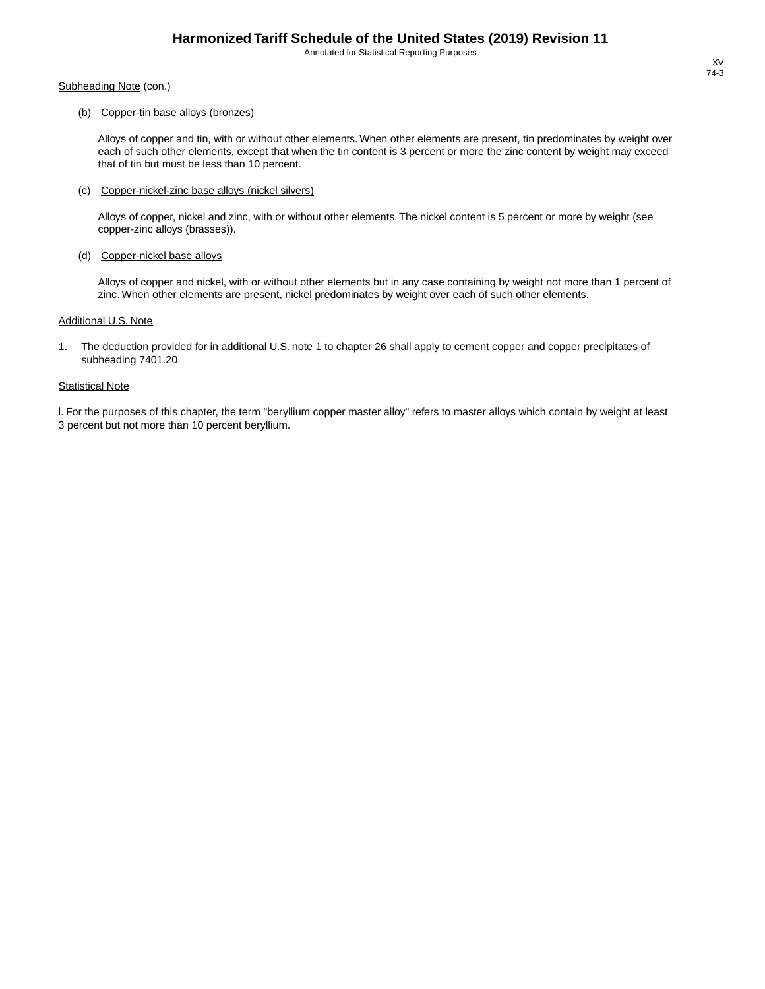Subheading Note (con.)

## (b) Copper-tin base alloys (bronzes)

Alloys of copper and tin, with or without other elements. When other elements are present, tin predominates by weight over each of such other elements, except that when the tin content is 3 percent or more the zinc content by weight may exceed that of tin but must be less than 10 percent.

### (c) Copper-nickel-zinc base alloys (nickel silvers)

Alloys of copper, nickel and zinc, with or without other elements. The nickel content is 5 percent or more by weight (see copper-zinc alloys (brasses)).

### (d) Copper-nickel base alloys

Alloys of copper and nickel, with or without other elements but in any case containing by weight not more than 1 percent of zinc. When other elements are present, nickel predominates by weight over each of such other elements.

#### Additional U.S. Note

1. The deduction provided for in additional U.S. note 1 to chapter 26 shall apply to cement copper and copper precipitates of subheading 7401.20.

## **Statistical Note**

I. For the purposes of this chapter, the term "beryllium copper master alloy" refers to master alloys which contain by weight at least 3 percent but not more than 10 percent beryllium.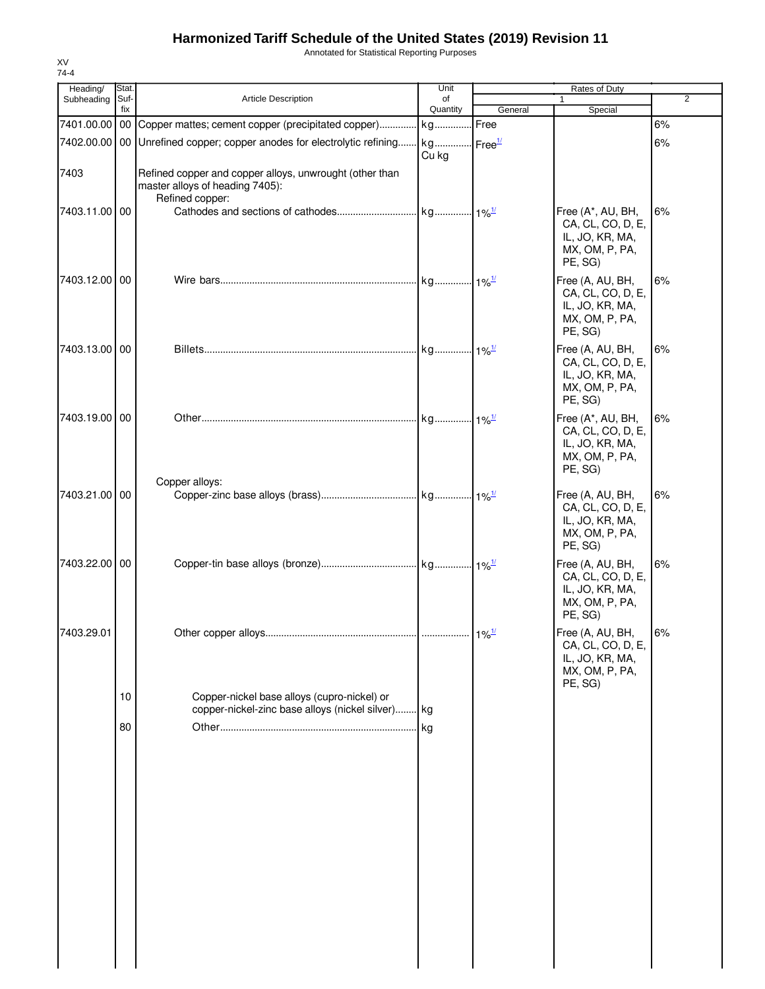Annotated for Statistical Reporting Purposes

| Heading/      | Stat.       |                                                                                                               | Unit                             |                    | Rates of Duty                                                                          |                |
|---------------|-------------|---------------------------------------------------------------------------------------------------------------|----------------------------------|--------------------|----------------------------------------------------------------------------------------|----------------|
| Subheading    | Suf-<br>fix | Article Description                                                                                           | of<br>Quantity                   | General            | $\mathbf{1}$<br>Special                                                                | $\overline{2}$ |
| 7401.00.00 00 |             | Copper mattes; cement copper (precipitated copper) kg                                                         |                                  | Free               |                                                                                        | 6%             |
|               |             | 7402.00.00   00   Unrefined copper; copper anodes for electrolytic refining kg                                |                                  | Free <sup>1/</sup> |                                                                                        | 6%             |
|               |             |                                                                                                               | Cu kg                            |                    |                                                                                        |                |
| 7403          |             | Refined copper and copper alloys, unwrought (other than<br>master alloys of heading 7405):<br>Refined copper: |                                  |                    |                                                                                        |                |
| 7403.11.00 00 |             |                                                                                                               |                                  |                    | Free (A*, AU, BH,<br>CA, CL, CO, D, E,<br>IL, JO, KR, MA,<br>MX, OM, P, PA,<br>PE, SG) | 6%             |
| 7403.12.00 00 |             |                                                                                                               |                                  |                    | Free (A, AU, BH,<br>CA, CL, CO, D, E,<br>IL, JO, KR, MA,<br>MX, OM, P, PA,<br>PE, SG)  | 6%             |
| 7403.13.00 00 |             |                                                                                                               | . kg <sub>1%</sub> <sup>1/</sup> |                    | Free (A, AU, BH,<br>CA, CL, CO, D, E,<br>IL, JO, KR, MA,<br>MX, OM, P, PA,<br>PE, SG)  | 6%             |
| 7403.19.00 00 |             |                                                                                                               |                                  |                    | Free (A*, AU, BH,<br>CA, CL, CO, D, E,<br>IL, JO, KR, MA,<br>MX, OM, P, PA,<br>PE, SG) | 6%             |
| 7403.21.00 00 |             | Copper alloys:                                                                                                |                                  |                    | Free (A, AU, BH,<br>CA, CL, CO, D, E,<br>IL, JO, KR, MA,<br>MX, OM, P, PA,<br>PE, SG)  | 6%             |
| 7403.22.00 00 |             |                                                                                                               |                                  |                    | Free (A, AU, BH,<br>CA, CL, CO, D, E,<br>IL, JO, KR, MA,<br>MX, OM, P, PA,<br>PE, SG)  | 6%             |
| 7403.29.01    |             |                                                                                                               |                                  |                    | Free (A, AU, BH,<br>CA, CL, CO, D, E,<br>IL, JO, KR, MA,<br>MX, OM, P, PA,<br>PE, SG)  | 6%             |
|               | 10          | Copper-nickel base alloys (cupro-nickel) or<br>copper-nickel-zinc base alloys (nickel silver) kg              |                                  |                    |                                                                                        |                |
|               | 80          |                                                                                                               |                                  |                    |                                                                                        |                |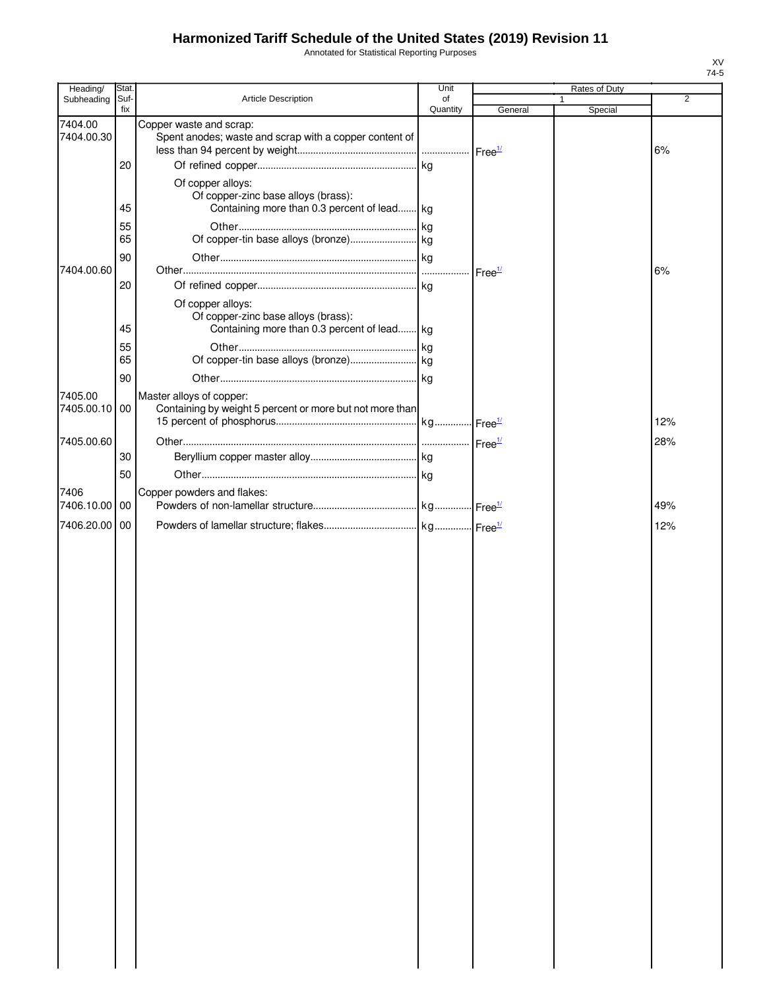Annotated for Statistical Reporting Purposes

| Heading/                 | Stat.       |                                                                                      | Unit           |                    | Rates of Duty |                |
|--------------------------|-------------|--------------------------------------------------------------------------------------|----------------|--------------------|---------------|----------------|
| Subheading               | Suf-<br>fix | Article Description                                                                  | of<br>Quantity | General            |               | $\overline{2}$ |
| 7404.00<br>7404.00.30    |             | Copper waste and scrap:<br>Spent anodes; waste and scrap with a copper content of    |                |                    | Special       |                |
|                          | 20          |                                                                                      |                |                    |               | 6%             |
|                          |             | Of copper alloys:                                                                    |                |                    |               |                |
|                          | 45          | Of copper-zinc base alloys (brass):<br>Containing more than 0.3 percent of lead kg   |                |                    |               |                |
|                          | 55          |                                                                                      |                |                    |               |                |
|                          | 65          |                                                                                      |                |                    |               |                |
|                          | 90          |                                                                                      |                |                    |               |                |
| 7404.00.60               |             |                                                                                      |                | Free <sup>1/</sup> |               | 6%             |
|                          | 20          |                                                                                      |                |                    |               |                |
|                          |             | Of copper alloys:<br>Of copper-zinc base alloys (brass):                             |                |                    |               |                |
|                          | 45          | Containing more than 0.3 percent of lead kg                                          |                |                    |               |                |
|                          | 55          |                                                                                      |                |                    |               |                |
|                          | 65          |                                                                                      |                |                    |               |                |
|                          | 90          |                                                                                      |                |                    |               |                |
| 7405.00<br>7405.00.10 00 |             | Master alloys of copper:<br>Containing by weight 5 percent or more but not more than |                |                    |               |                |
|                          |             |                                                                                      |                |                    |               | 12%            |
| 7405.00.60               |             |                                                                                      |                |                    |               |                |
|                          | 30          |                                                                                      |                |                    |               | 28%            |
|                          |             |                                                                                      |                |                    |               |                |
|                          | 50          |                                                                                      |                |                    |               |                |
| 7406<br>7406.10.00 00    |             | Copper powders and flakes:                                                           |                |                    |               | 49%            |
| 7406.20.00               | 00          |                                                                                      |                |                    |               | 12%            |
|                          |             |                                                                                      |                |                    |               |                |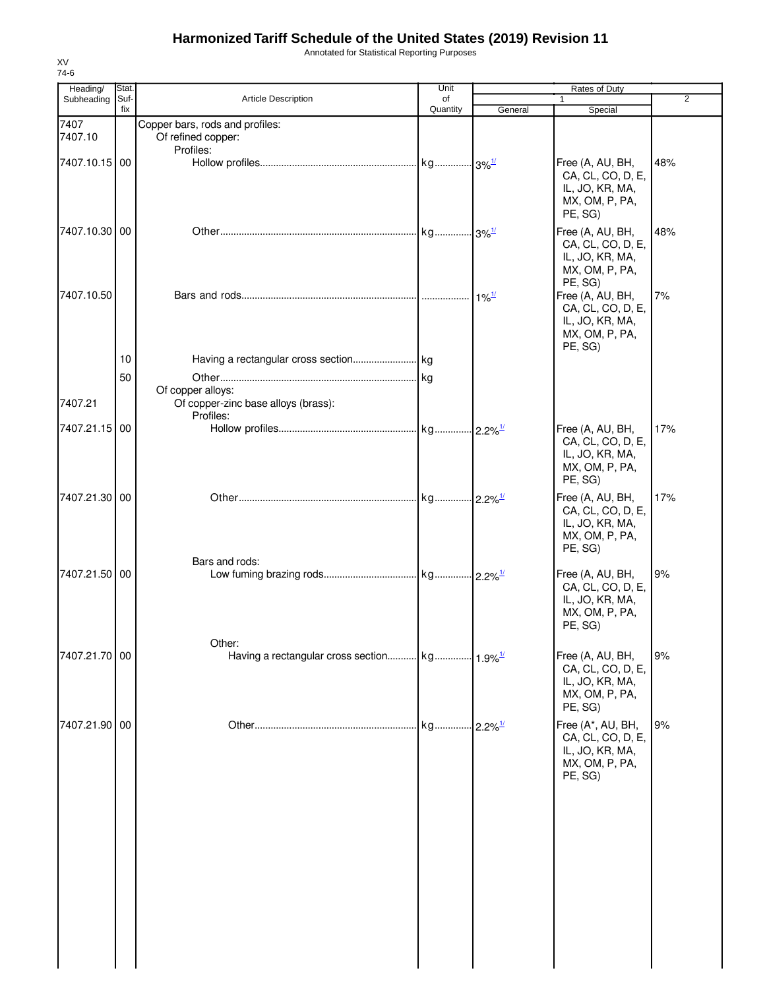Annotated for Statistical Reporting Purposes

| Heading/        | Stat.       |                                                                       | Unit           |                          | Rates of Duty                                                                          |     |
|-----------------|-------------|-----------------------------------------------------------------------|----------------|--------------------------|----------------------------------------------------------------------------------------|-----|
| Subheading      | Suf-<br>fix | <b>Article Description</b>                                            | of<br>Quantity | General                  | 1<br>Special                                                                           | 2   |
| 7407<br>7407.10 |             | Copper bars, rods and profiles:<br>Of refined copper:                 |                |                          |                                                                                        |     |
|                 |             | Profiles:                                                             |                |                          |                                                                                        |     |
| 7407.10.15 00   |             |                                                                       |                |                          | Free (A, AU, BH,<br>CA, CL, CO, D, E,<br>IL, JO, KR, MA,<br>MX, OM, P, PA,<br>PE, SG)  | 48% |
| 7407.10.30 00   |             |                                                                       |                |                          | Free (A, AU, BH,<br>CA, CL, CO, D, E,<br>IL, JO, KR, MA,<br>MX, OM, P, PA,<br>PE, SG)  | 48% |
| 7407.10.50      |             |                                                                       |                | $\cdot$ 1% $\frac{1}{2}$ | Free (A, AU, BH,<br>CA, CL, CO, D, E,<br>IL, JO, KR, MA,<br>MX, OM, P, PA,<br>PE, SG)  | 7%  |
|                 | 10          |                                                                       |                |                          |                                                                                        |     |
|                 | 50          |                                                                       |                |                          |                                                                                        |     |
| 7407.21         |             | Of copper alloys:<br>Of copper-zinc base alloys (brass):<br>Profiles: |                |                          |                                                                                        |     |
| 7407.21.15 00   |             |                                                                       |                |                          | Free (A, AU, BH,<br>CA, CL, CO, D, E,<br>IL, JO, KR, MA,<br>MX, OM, P, PA,<br>PE, SG)  | 17% |
| 7407.21.30 00   |             |                                                                       |                |                          | Free (A, AU, BH,<br>CA, CL, CO, D, E,<br>IL, JO, KR, MA,<br>MX, OM, P, PA,<br>PE, SG)  | 17% |
| 7407.21.50 00   |             | Bars and rods:                                                        |                |                          | Free (A, AU, BH,<br>CA, CL, CO, D, E,<br>IL, JO, KR, MA,<br>MX, OM, P, PA,<br>PE, SG)  | 9%  |
| 7407.21.70 00   |             | Other:                                                                |                |                          | Free (A, AU, BH,<br>CA, CL, CO, D, E,<br>IL, JO, KR, MA,<br>MX, OM, P, PA,<br>PE, SG)  | 9%  |
| 7407.21.90 00   |             |                                                                       |                |                          | Free (A*, AU, BH,<br>CA, CL, CO, D, E,<br>IL, JO, KR, MA,<br>MX, OM, P, PA,<br>PE, SG) | 9%  |
|                 |             |                                                                       |                |                          |                                                                                        |     |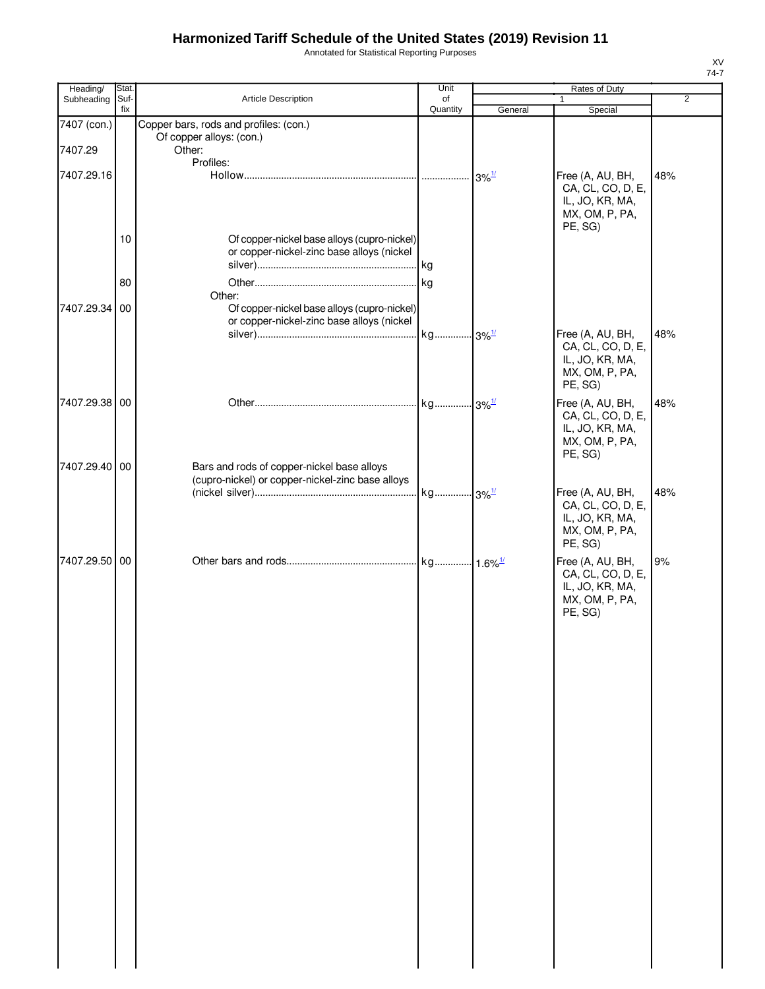Annotated for Statistical Reporting Purposes

| Heading/      | Stat.       |                                                                                                    | Unit           |         | Rates of Duty                                                                         |                |
|---------------|-------------|----------------------------------------------------------------------------------------------------|----------------|---------|---------------------------------------------------------------------------------------|----------------|
| Subheading    | Suf-<br>fix | Article Description                                                                                | of<br>Quantity | General | $\mathbf{1}$<br>Special                                                               | $\overline{2}$ |
| 7407 (con.)   |             | Copper bars, rods and profiles: (con.)                                                             |                |         |                                                                                       |                |
| 7407.29       |             | Of copper alloys: (con.)<br>Other:                                                                 |                |         |                                                                                       |                |
| 7407.29.16    |             | Profiles:                                                                                          |                |         |                                                                                       | 48%            |
|               |             |                                                                                                    |                |         | Free (A, AU, BH,<br>CA, CL, CO, D, E,<br>IL, JO, KR, MA,<br>MX, OM, P, PA,<br>PE, SG) |                |
|               | 10          | Of copper-nickel base alloys (cupro-nickel)<br>or copper-nickel-zinc base alloys (nickel           |                |         |                                                                                       |                |
|               | 80          |                                                                                                    |                |         |                                                                                       |                |
| 7407.29.34 00 |             | Other:<br>Of copper-nickel base alloys (cupro-nickel)<br>or copper-nickel-zinc base alloys (nickel |                |         |                                                                                       |                |
|               |             |                                                                                                    |                |         | Free (A, AU, BH,<br>CA, CL, CO, D, E,<br>IL, JO, KR, MA,<br>MX, OM, P, PA,<br>PE, SG) | 48%            |
| 7407.29.38 00 |             |                                                                                                    |                |         | Free (A, AU, BH,<br>CA, CL, CO, D, E,<br>IL, JO, KR, MA,<br>MX, OM, P, PA,<br>PE, SG) | 48%            |
| 7407.29.40 00 |             | Bars and rods of copper-nickel base alloys<br>(cupro-nickel) or copper-nickel-zinc base alloys     |                |         |                                                                                       |                |
|               |             |                                                                                                    |                |         | Free (A, AU, BH,<br>CA, CL, CO, D, E,<br>IL, JO, KR, MA,<br>MX, OM, P, PA,<br>PE, SG) | 48%            |
| 7407.29.50 00 |             |                                                                                                    |                |         | Free (A, AU, BH,<br>CA, CL, CO, D, E,<br>IL, JO, KR, MA,<br>MX, OM, P, PA,<br>PE, SG) | 9%             |
|               |             |                                                                                                    |                |         |                                                                                       |                |
|               |             |                                                                                                    |                |         |                                                                                       |                |
|               |             |                                                                                                    |                |         |                                                                                       |                |
|               |             |                                                                                                    |                |         |                                                                                       |                |
|               |             |                                                                                                    |                |         |                                                                                       |                |
|               |             |                                                                                                    |                |         |                                                                                       |                |
|               |             |                                                                                                    |                |         |                                                                                       |                |
|               |             |                                                                                                    |                |         |                                                                                       |                |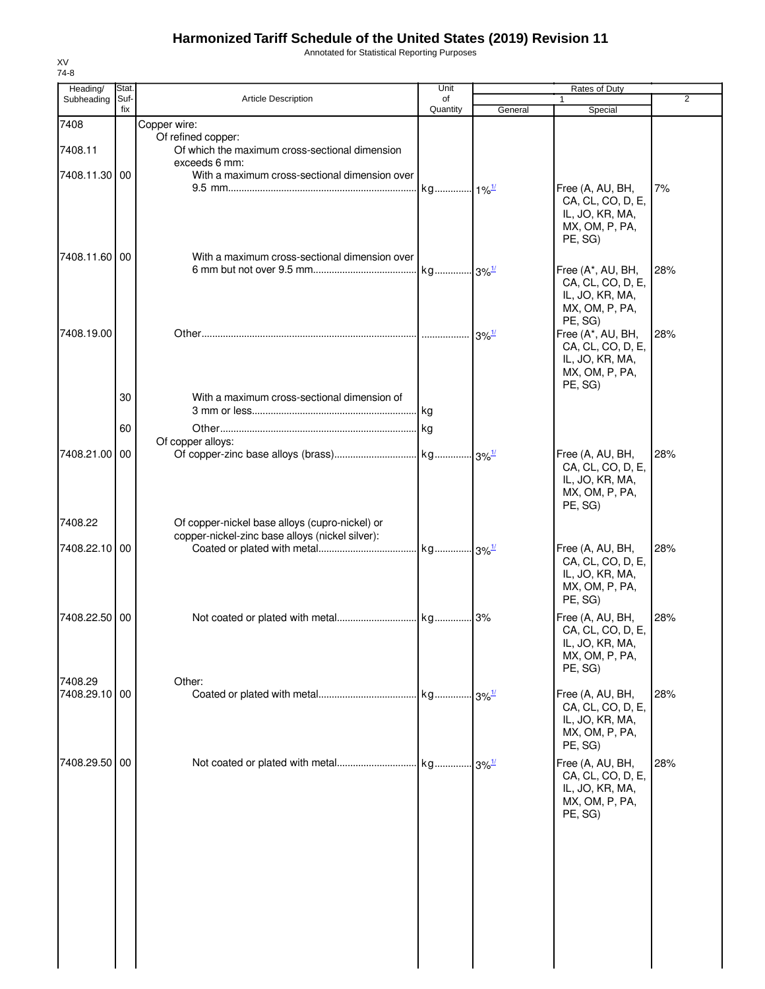Annotated for Statistical Reporting Purposes

| Suf-          |                                                                                      |                                                                                                                  |         |                                                                                        |                                                                                 |
|---------------|--------------------------------------------------------------------------------------|------------------------------------------------------------------------------------------------------------------|---------|----------------------------------------------------------------------------------------|---------------------------------------------------------------------------------|
| fix           | Article Description                                                                  | of<br>Quantity                                                                                                   | General | Special                                                                                | $\overline{2}$                                                                  |
|               | Copper wire:<br>Of refined copper:<br>Of which the maximum cross-sectional dimension |                                                                                                                  |         |                                                                                        |                                                                                 |
| 7408.11.30 00 | With a maximum cross-sectional dimension over                                        |                                                                                                                  |         | Free (A, AU, BH,                                                                       | 7%                                                                              |
|               |                                                                                      |                                                                                                                  |         | IL, JO, KR, MA,<br>MX, OM, P, PA,<br>PE, SG)                                           |                                                                                 |
|               |                                                                                      |                                                                                                                  |         | Free (A*, AU, BH,<br>CA, CL, CO, D, E,<br>IL, JO, KR, MA,<br>MX, OM, P, PA,            | 28%                                                                             |
| 7408.19.00    |                                                                                      |                                                                                                                  |         | Free (A*, AU, BH,<br>CA, CL, CO, D, E,<br>IL, JO, KR, MA,<br>MX, OM, P, PA,<br>PE, SG) | 28%                                                                             |
| 30            | With a maximum cross-sectional dimension of                                          | kg                                                                                                               |         |                                                                                        |                                                                                 |
| 60            | Of copper alloys:                                                                    |                                                                                                                  |         |                                                                                        |                                                                                 |
|               |                                                                                      |                                                                                                                  |         | CA, CL, CO, D, E,<br>IL, JO, KR, MA,<br>MX, OM, P, PA,<br>PE, SG)                      | 28%                                                                             |
|               | copper-nickel-zinc base alloys (nickel silver):                                      |                                                                                                                  |         |                                                                                        |                                                                                 |
|               |                                                                                      |                                                                                                                  |         | CA, CL, CO, D, E,<br>IL, JO, KR, MA,<br>MX, OM, P, PA,<br>PE, SG)                      | 28%                                                                             |
| 7408.22.50 00 |                                                                                      |                                                                                                                  |         | Free (A, AU, BH,<br>CA, CL, CO, D, E,<br>IL, JO, KR, MA,<br>MX, OM, P, PA,<br>PE, SG)  | 28%                                                                             |
| 7408.29.10 00 | Other:                                                                               |                                                                                                                  |         | Free (A, AU, BH,<br>CA, CL, CO, D, E,<br>IL, JO, KR, MA,<br>MX, OM, P, PA,             | 28%                                                                             |
| 7408.29.50 00 |                                                                                      |                                                                                                                  |         | Free (A, AU, BH,<br>CA, CL, CO, D, E,<br>IL, JO, KR, MA,<br>MX, OM, P, PA,<br>PE, SG)  | 28%                                                                             |
|               |                                                                                      |                                                                                                                  |         |                                                                                        |                                                                                 |
|               | 7408.11.60 00<br>7408.21.00 00<br>7408.22.10 00                                      | exceeds 6 mm:<br>With a maximum cross-sectional dimension over<br>Of copper-nickel base alloys (cupro-nickel) or |         | kg 1% <sup>1/</sup><br>$3\%$ <sup>1/</sup>                                             | CA, CL, CO, D, E,<br>PE, SG)<br>Free (A, AU, BH,<br>Free (A, AU, BH,<br>PE, SG) |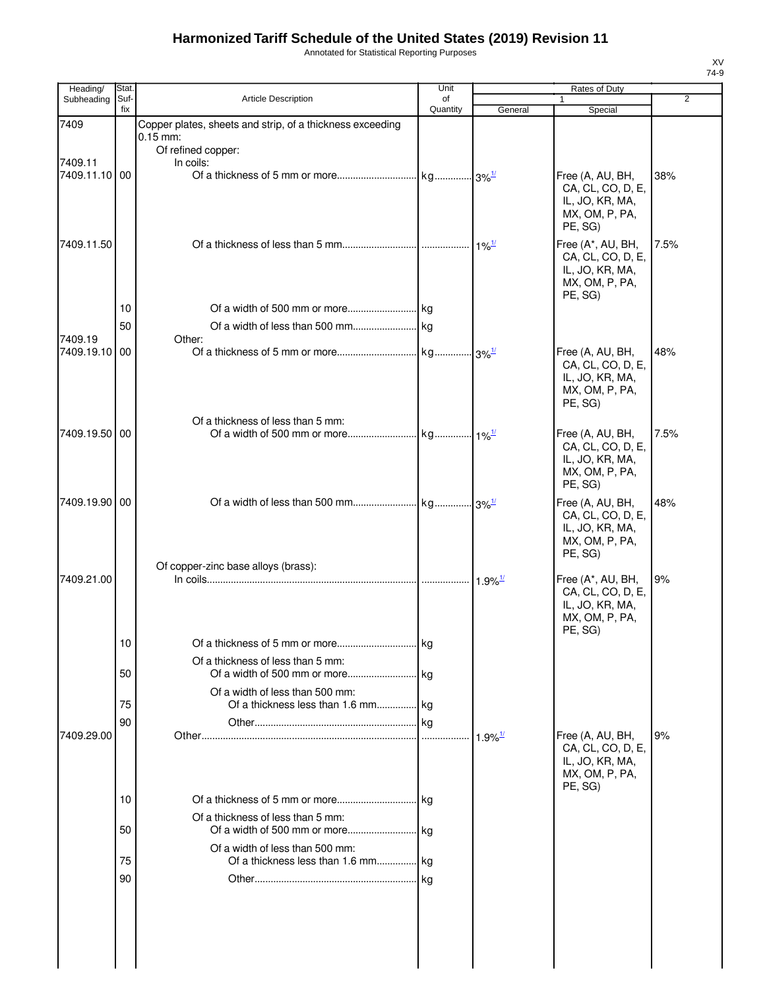Annotated for Statistical Reporting Purposes

| Heading/      | Stat.       |                                                                         | Unit           |                       | Rates of Duty                                                                          |                |
|---------------|-------------|-------------------------------------------------------------------------|----------------|-----------------------|----------------------------------------------------------------------------------------|----------------|
| Subheading    | Suf-<br>fix | Article Description                                                     | of<br>Quantity | General               | 1<br>Special                                                                           | $\overline{2}$ |
| 7409          |             | Copper plates, sheets and strip, of a thickness exceeding<br>$0.15$ mm: |                |                       |                                                                                        |                |
| 7409.11       |             | Of refined copper:<br>In coils:                                         |                |                       |                                                                                        |                |
| 7409.11.10 00 |             |                                                                         |                |                       | Free (A, AU, BH,<br>CA, CL, CO, D, E,<br>IL, JO, KR, MA,<br>MX, OM, P, PA,<br>PE, SG)  | 38%            |
| 7409.11.50    |             |                                                                         |                |                       | Free (A*, AU, BH,<br>CA, CL, CO, D, E,<br>IL, JO, KR, MA,<br>MX, OM, P, PA,<br>PE, SG) | 7.5%           |
|               | 10          |                                                                         |                |                       |                                                                                        |                |
| 7409.19       | 50          | Other:                                                                  |                |                       |                                                                                        |                |
| 7409.19.10    | 00          |                                                                         |                |                       | Free (A, AU, BH,<br>CA, CL, CO, D, E,<br>IL, JO, KR, MA,<br>MX, OM, P, PA,<br>PE, SG)  | 48%            |
|               |             | Of a thickness of less than 5 mm:                                       |                |                       |                                                                                        |                |
| 7409.19.50 00 |             |                                                                         |                |                       | Free (A, AU, BH,<br>CA, CL, CO, D, E,<br>IL, JO, KR, MA,<br>MX, OM, P, PA,<br>PE, SG)  | 7.5%           |
| 7409.19.90 00 |             |                                                                         |                |                       | Free (A, AU, BH,<br>CA, CL, CO, D, E,<br>IL, JO, KR, MA,<br>MX, OM, P, PA,<br>PE, SG)  | 48%            |
| 7409.21.00    |             | Of copper-zinc base alloys (brass):                                     |                | $1.9\%$ <sup>1/</sup> | Free (A*, AU, BH,                                                                      | 9%             |
|               | 10          |                                                                         |                |                       | CA, CL, CO, D, E,<br>IL, JO, KR, MA,<br>MX, OM, P, PA,<br>PE, SG)                      |                |
|               |             | Of a thickness of less than 5 mm:                                       |                |                       |                                                                                        |                |
|               | 50          |                                                                         |                |                       |                                                                                        |                |
|               | 75          | Of a width of less than 500 mm:<br>Of a thickness less than 1.6 mm kg   |                |                       |                                                                                        |                |
| 7409.29.00    | 90          |                                                                         |                | $1.9\%$ <sup>1/</sup> | Free (A, AU, BH,<br>CA, CL, CO, D, E,<br>IL, JO, KR, MA,<br>MX, OM, P, PA,             | 9%             |
|               | 10          |                                                                         |                |                       | PE. SG)                                                                                |                |
|               |             | Of a thickness of less than 5 mm:                                       |                |                       |                                                                                        |                |
|               | 50          |                                                                         |                |                       |                                                                                        |                |
|               |             | Of a width of less than 500 mm:                                         |                |                       |                                                                                        |                |
|               | 75          | Of a thickness less than 1.6 mm kg                                      |                |                       |                                                                                        |                |
|               | 90          |                                                                         |                |                       |                                                                                        |                |
|               |             |                                                                         |                |                       |                                                                                        |                |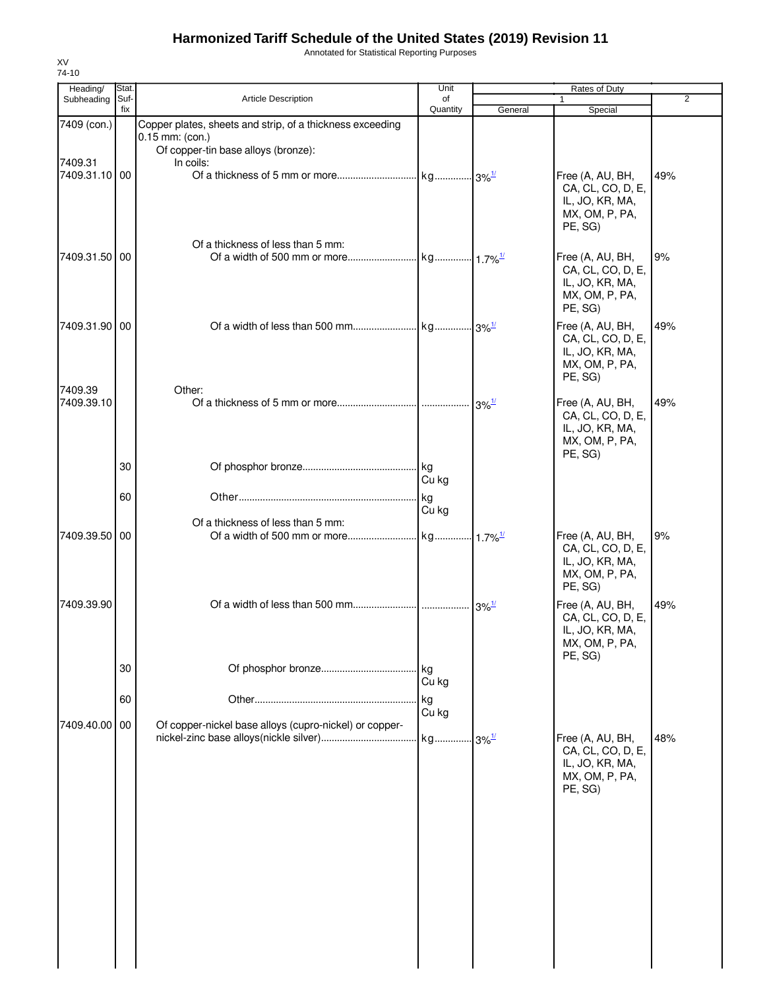Annotated for Statistical Reporting Purposes

| Heading/              | Stat.       |                                                                                | Unit                |                                           | Rates of Duty                                                                         |                |
|-----------------------|-------------|--------------------------------------------------------------------------------|---------------------|-------------------------------------------|---------------------------------------------------------------------------------------|----------------|
| Subheading            | Suf-<br>fix | <b>Article Description</b>                                                     | of<br>Quantity      | General                                   | 1<br>Special                                                                          | $\overline{2}$ |
| 7409 (con.)           |             | Copper plates, sheets and strip, of a thickness exceeding<br>$0.15$ mm: (con.) |                     |                                           |                                                                                       |                |
| 7409.31               |             | Of copper-tin base alloys (bronze):<br>In coils:                               |                     |                                           |                                                                                       |                |
| 7409.31.10 00         |             |                                                                                |                     |                                           | Free (A, AU, BH,<br>CA, CL, CO, D, E,<br>IL, JO, KR, MA,<br>MX, OM, P, PA,<br>PE, SG) | 49%            |
| 7409.31.50 00         |             | Of a thickness of less than 5 mm:                                              |                     |                                           | Free (A, AU, BH,<br>CA, CL, CO, D, E,<br>IL, JO, KR, MA,<br>MX, OM, P, PA,<br>PE, SG) | 9%             |
| 7409.31.90 00         |             |                                                                                |                     |                                           | Free (A, AU, BH,<br>CA, CL, CO, D, E,<br>IL, JO, KR, MA,<br>MX, OM, P, PA,<br>PE, SG) | 49%            |
| 7409.39<br>7409.39.10 |             | Other:                                                                         |                     | $3\%$ <sup><math>\frac{1}{2}</math></sup> | Free (A, AU, BH,<br>CA, CL, CO, D, E,<br>IL, JO, KR, MA,<br>MX, OM, P, PA,<br>PE, SG) | 49%            |
|                       | 30          |                                                                                | Cu kg               |                                           |                                                                                       |                |
|                       | 60          |                                                                                | <b>kg</b><br>Cu kg  |                                           |                                                                                       |                |
| 7409.39.50 00         |             | Of a thickness of less than 5 mm:                                              |                     |                                           | Free (A, AU, BH,<br>CA, CL, CO, D, E,<br>IL, JO, KR, MA,<br>MX, OM, P, PA,<br>PE, SG) | 9%             |
| 7409.39.90            |             |                                                                                |                     | $3\%$ <sup>1/</sup>                       | Free (A, AU, BH,<br>CA, CL, CO, D, E,<br>IL, JO, KR, MA,<br>MX, OM, P, PA,<br>PE, SG) | 49%            |
|                       | 30          |                                                                                | . kg<br>Cu kg       |                                           |                                                                                       |                |
| 7409.40.00 00         | 60          | Of copper-nickel base alloys (cupro-nickel) or copper-                         | kg<br>Cu kg         |                                           |                                                                                       |                |
|                       |             |                                                                                | kg 3% <sup>1/</sup> |                                           | Free (A, AU, BH,<br>CA, CL, CO, D, E,<br>IL, JO, KR, MA,<br>MX, OM, P, PA,<br>PE, SG) | 48%            |
|                       |             |                                                                                |                     |                                           |                                                                                       |                |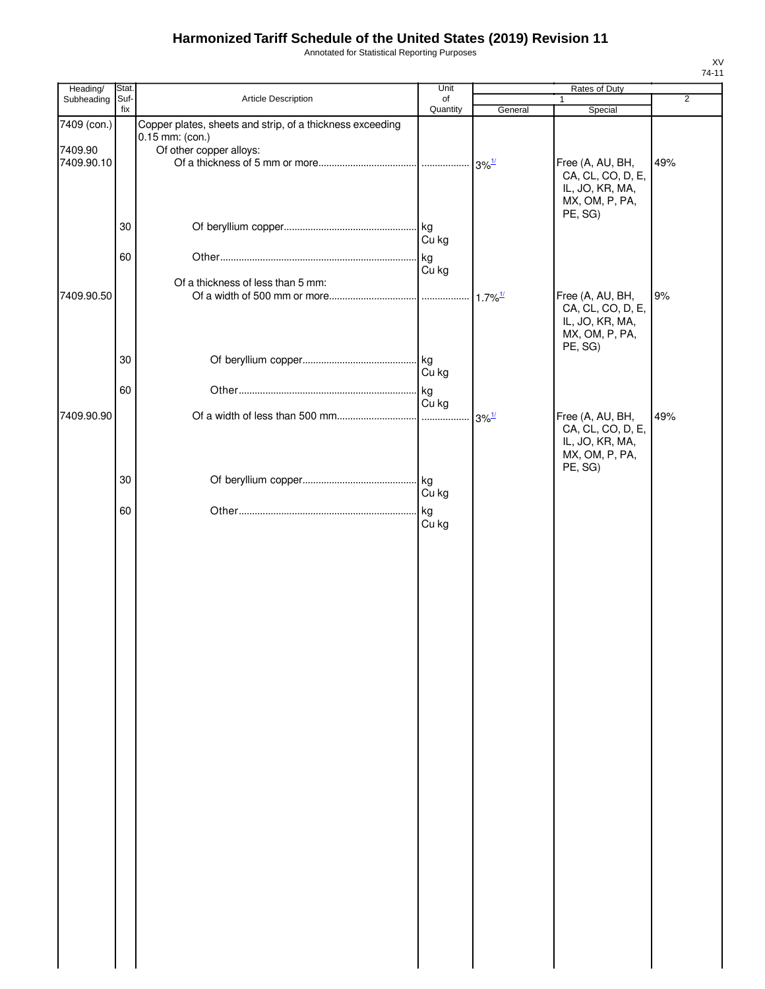Annotated for Statistical Reporting Purposes

| Heading/              | Stat.       |                                                                              | Unit           |                                  | Rates of Duty                                                                         |                |
|-----------------------|-------------|------------------------------------------------------------------------------|----------------|----------------------------------|---------------------------------------------------------------------------------------|----------------|
| Subheading            | Suf-<br>fix | Article Description                                                          | of<br>Quantity | General                          | Special                                                                               | $\overline{2}$ |
| 7409 (con.)           |             | Copper plates, sheets and strip, of a thickness exceeding<br>0.15 mm: (con.) |                |                                  |                                                                                       |                |
| 7409.90<br>7409.90.10 |             | Of other copper alloys:                                                      |                |                                  | Free (A, AU, BH,<br>CA, CL, CO, D, E,<br>IL, JO, KR, MA,<br>MX, OM, P, PA,<br>PE, SG) | 49%            |
|                       | 30          |                                                                              | Cu kg          |                                  |                                                                                       |                |
|                       | 60          | Of a thickness of less than 5 mm:                                            | kg<br>Cu kg    |                                  |                                                                                       |                |
| 7409.90.50            |             |                                                                              |                | $1.7\%$ <sup>1/</sup>            | Free (A, AU, BH,<br>CA, CL, CO, D, E,<br>IL, JO, KR, MA,<br>MX, OM, P, PA,<br>PE, SG) | 9%             |
|                       | 30          |                                                                              | Cu kg          |                                  |                                                                                       |                |
| 7409.90.90            | 60          |                                                                              | kg<br>Cu kg    |                                  | Free (A, AU, BH,                                                                      | 49%            |
|                       |             |                                                                              | .              | $3\%$ <sup><math>1/</math></sup> | CA, CL, CO, D, E,<br>IL, JO, KR, MA,<br>MX, OM, P, PA,<br>PE, SG)                     |                |
|                       | 30          |                                                                              | Cu kg          |                                  |                                                                                       |                |
|                       | 60          |                                                                              | kg<br>Cu kg    |                                  |                                                                                       |                |
|                       |             |                                                                              |                |                                  |                                                                                       |                |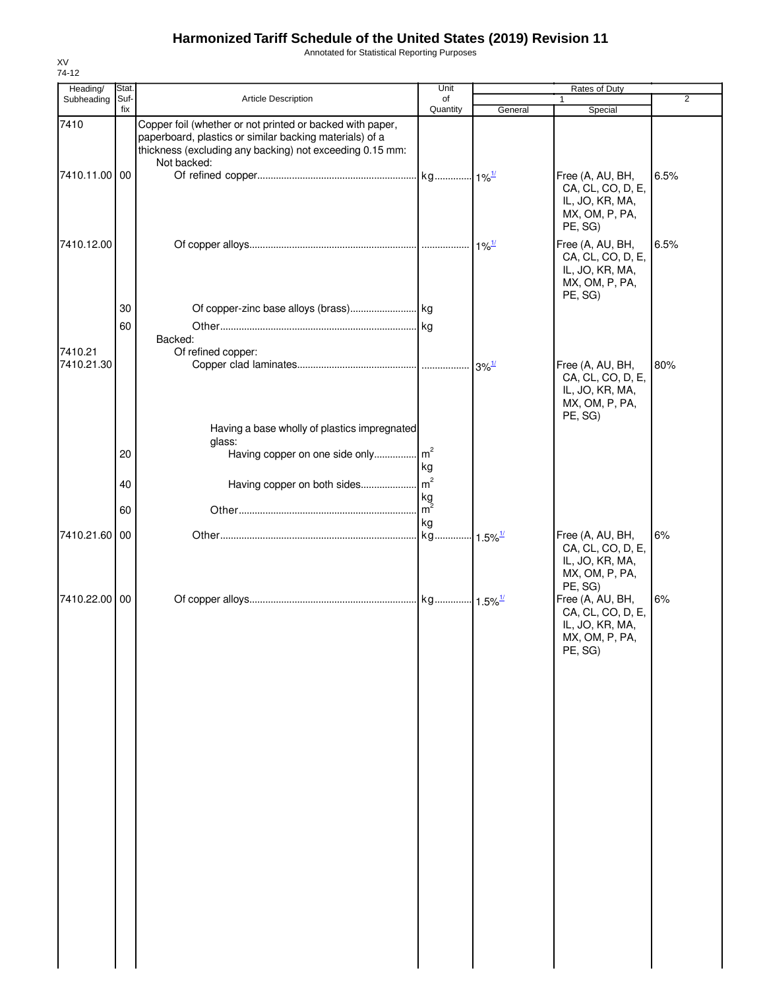Annotated for Statistical Reporting Purposes

| Heading/              | <b>Stat</b> |                                                                                                                                                                                                 | Unit                 |                                           | Rates of Duty                                                                                    |                |
|-----------------------|-------------|-------------------------------------------------------------------------------------------------------------------------------------------------------------------------------------------------|----------------------|-------------------------------------------|--------------------------------------------------------------------------------------------------|----------------|
| Subheading            | Suf-<br>fix | Article Description                                                                                                                                                                             | of<br>Quantity       | General                                   | 1<br>Special                                                                                     | $\overline{2}$ |
| 7410                  |             | Copper foil (whether or not printed or backed with paper,<br>paperboard, plastics or similar backing materials) of a<br>thickness (excluding any backing) not exceeding 0.15 mm:<br>Not backed: |                      |                                           |                                                                                                  |                |
| 7410.11.00 00         |             |                                                                                                                                                                                                 |                      |                                           | Free (A, AU, BH,<br>CA, CL, CO, D, E,<br>IL, JO, KR, MA,<br>MX, OM, P, PA,<br>PE, SG)            | 6.5%           |
| 7410.12.00            |             |                                                                                                                                                                                                 |                      | $1\%$ <sup>1/</sup>                       | Free (A, AU, BH,<br>CA, CL, CO, D, E,<br>IL, JO, KR, MA,<br>MX, OM, P, PA,<br>PE, SG)            | 6.5%           |
|                       | 30          |                                                                                                                                                                                                 |                      |                                           |                                                                                                  |                |
|                       | 60          |                                                                                                                                                                                                 |                      |                                           |                                                                                                  |                |
|                       |             | Backed:                                                                                                                                                                                         |                      |                                           |                                                                                                  |                |
| 7410.21<br>7410.21.30 |             | Of refined copper:                                                                                                                                                                              |                      |                                           | Free (A, AU, BH,                                                                                 | 80%            |
|                       |             |                                                                                                                                                                                                 |                      | $3\%$ <sup><math>\frac{1}{2}</math></sup> | CA, CL, CO, D, E,<br>IL, JO, KR, MA,<br>MX, OM, P, PA,<br>PE, SG)                                |                |
|                       |             | Having a base wholly of plastics impregnated<br>glass:                                                                                                                                          |                      |                                           |                                                                                                  |                |
|                       | 20          | Having copper on one side only m <sup>2</sup>                                                                                                                                                   |                      |                                           |                                                                                                  |                |
|                       |             |                                                                                                                                                                                                 | kg                   |                                           |                                                                                                  |                |
|                       | 40          | Having copper on both sides                                                                                                                                                                     | m <sup>2</sup>       |                                           |                                                                                                  |                |
|                       |             |                                                                                                                                                                                                 | kg<br>m <sup>2</sup> |                                           |                                                                                                  |                |
|                       | 60          |                                                                                                                                                                                                 | kg                   |                                           |                                                                                                  |                |
| 7410.21.60 00         |             |                                                                                                                                                                                                 | kg                   | $1.5\%$ <sup>1/</sup>                     | Free (A, AU, BH,<br>CA, CL, CO, D, E,<br>IL, JO, KR, MA,<br>MX, OM, P, PA,                       | 6%             |
| 7410.22.00 00         |             |                                                                                                                                                                                                 |                      |                                           | PE, SG)<br>Free (A, AU, BH,<br>CA, CL, CO, D, E,<br>IL, JO, KR, MA,<br>MX, OM, P, PA,<br>PE, SG) | 6%             |
|                       |             |                                                                                                                                                                                                 |                      |                                           |                                                                                                  |                |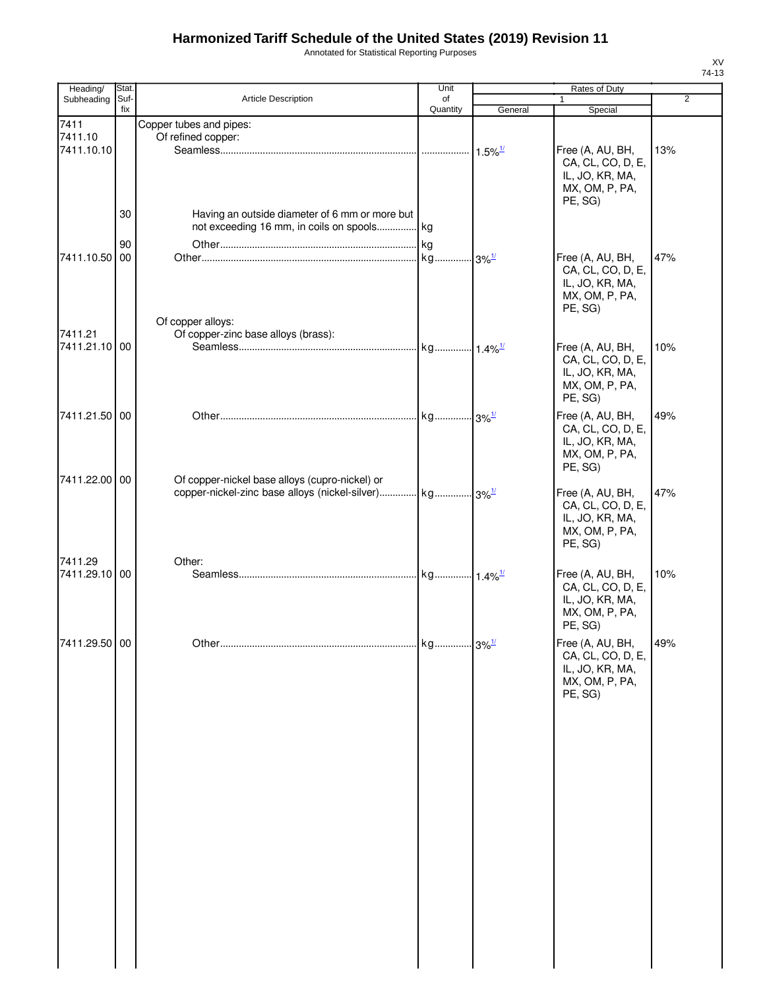Annotated for Statistical Reporting Purposes

| Heading/      | Stat.       |                                                                    | Unit           | Rates of Duty              |                                   |                |
|---------------|-------------|--------------------------------------------------------------------|----------------|----------------------------|-----------------------------------|----------------|
| Subheading    | Suf-<br>fix | Article Description                                                | of<br>Quantity |                            | 1<br>Special                      | $\overline{2}$ |
| 7411          |             | Copper tubes and pipes:                                            |                | General                    |                                   |                |
| 7411.10       |             | Of refined copper:                                                 |                |                            |                                   |                |
| 7411.10.10    |             |                                                                    |                | $\cdot$ 1.5% $\frac{1}{2}$ | Free (A, AU, BH,                  | 13%            |
|               |             |                                                                    |                |                            | CA, CL, CO, D, E,                 |                |
|               |             |                                                                    |                |                            | IL, JO, KR, MA,                   |                |
|               |             |                                                                    |                |                            | MX, OM, P, PA,                    |                |
|               |             |                                                                    |                |                            | PE, SG)                           |                |
|               | 30          | Having an outside diameter of 6 mm or more but                     |                |                            |                                   |                |
|               |             | not exceeding 16 mm, in coils on spools kg                         |                |                            |                                   |                |
|               | 90          |                                                                    |                |                            |                                   |                |
| 7411.10.50    | 00          |                                                                    |                |                            | Free (A, AU, BH,                  | 47%            |
|               |             |                                                                    |                |                            | CA, CL, CO, D, E,                 |                |
|               |             |                                                                    |                |                            | IL, JO, KR, MA,                   |                |
|               |             |                                                                    |                |                            | MX, OM, P, PA,                    |                |
|               |             |                                                                    |                |                            | PE, SG)                           |                |
|               |             | Of copper alloys:                                                  |                |                            |                                   |                |
| 7411.21       |             | Of copper-zinc base alloys (brass):                                |                |                            |                                   |                |
| 7411.21.10 00 |             |                                                                    |                |                            | Free (A, AU, BH,                  | 10%            |
|               |             |                                                                    |                |                            | CA, CL, CO, D, E,                 |                |
|               |             |                                                                    |                |                            | IL, JO, KR, MA,                   |                |
|               |             |                                                                    |                |                            | MX, OM, P, PA,<br>PE, SG)         |                |
|               |             |                                                                    |                |                            |                                   |                |
| 7411.21.50 00 |             |                                                                    |                |                            | Free (A, AU, BH,                  | 49%            |
|               |             |                                                                    |                |                            | CA, CL, CO, D, E,                 |                |
|               |             |                                                                    |                |                            | IL, JO, KR, MA,<br>MX, OM, P, PA, |                |
|               |             |                                                                    |                |                            | PE, SG)                           |                |
| 7411.22.00 00 |             | Of copper-nickel base alloys (cupro-nickel) or                     |                |                            |                                   |                |
|               |             | copper-nickel-zinc base alloys (nickel-silver) kg 3% <sup>1/</sup> |                |                            | Free (A, AU, BH,                  | 47%            |
|               |             |                                                                    |                |                            | CA, CL, CO, D, E,                 |                |
|               |             |                                                                    |                |                            | IL, JO, KR, MA,                   |                |
|               |             |                                                                    |                |                            | MX, OM, P, PA,                    |                |
|               |             |                                                                    |                |                            | PE, SG)                           |                |
| 7411.29       |             | Other:                                                             |                |                            |                                   |                |
| 7411.29.10 00 |             |                                                                    |                |                            | Free (A, AU, BH,                  | 10%            |
|               |             |                                                                    |                |                            | CA, CL, CO, D, E,                 |                |
|               |             |                                                                    |                |                            | IL, JO, KR, MA,                   |                |
|               |             |                                                                    |                |                            | MX, OM, P, PA,                    |                |
|               |             |                                                                    |                |                            | PE, SG)                           |                |
| 7411.29.50 00 |             |                                                                    |                |                            | Free (A, AU, BH,                  | 49%            |
|               |             |                                                                    |                |                            | CA, CL, CO, D, E,                 |                |
|               |             |                                                                    |                |                            | IL, JO, KR, MA,                   |                |
|               |             |                                                                    |                |                            | MX, OM, P, PA,                    |                |
|               |             |                                                                    |                |                            | PE, SG)                           |                |
|               |             |                                                                    |                |                            |                                   |                |
|               |             |                                                                    |                |                            |                                   |                |
|               |             |                                                                    |                |                            |                                   |                |
|               |             |                                                                    |                |                            |                                   |                |
|               |             |                                                                    |                |                            |                                   |                |
|               |             |                                                                    |                |                            |                                   |                |
|               |             |                                                                    |                |                            |                                   |                |
|               |             |                                                                    |                |                            |                                   |                |
|               |             |                                                                    |                |                            |                                   |                |
|               |             |                                                                    |                |                            |                                   |                |
|               |             |                                                                    |                |                            |                                   |                |
|               |             |                                                                    |                |                            |                                   |                |
|               |             |                                                                    |                |                            |                                   |                |
|               |             |                                                                    |                |                            |                                   |                |
|               |             |                                                                    |                |                            |                                   |                |
|               |             |                                                                    |                |                            |                                   |                |
|               |             |                                                                    |                |                            |                                   |                |
|               |             |                                                                    |                |                            |                                   |                |
|               |             |                                                                    |                |                            |                                   |                |
|               |             |                                                                    |                |                            |                                   |                |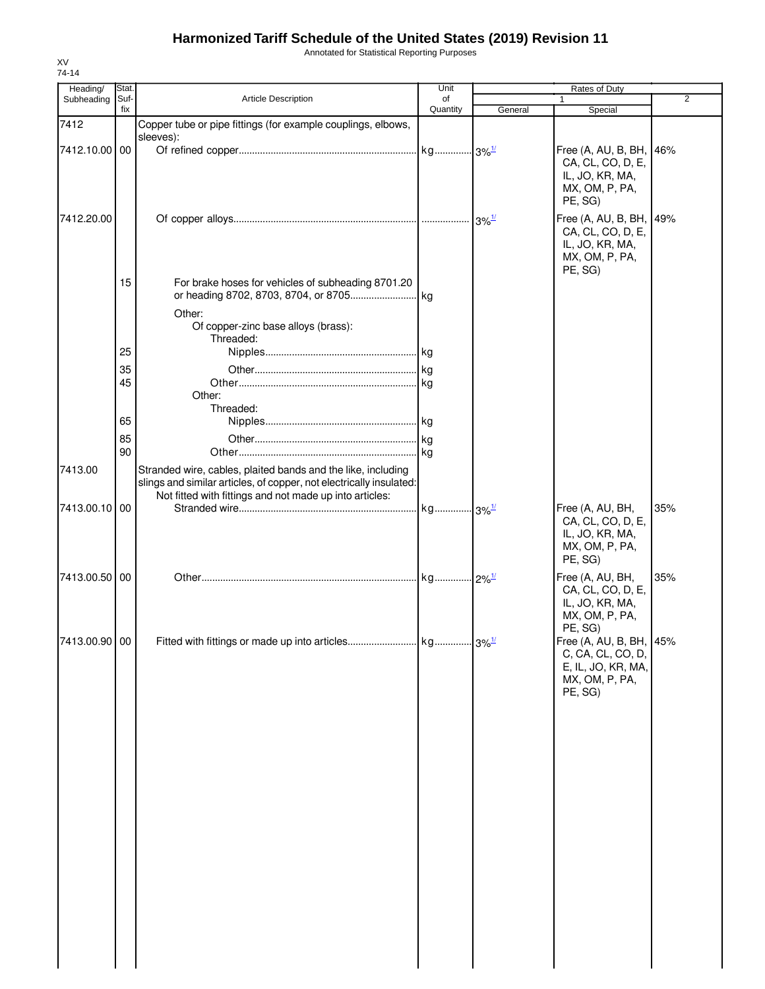Annotated for Statistical Reporting Purposes

| Heading/<br>Subheading | Stat.<br>Suf- | Article Description                                                                                                                                                                            | Unit<br>of          |         | Rates of Duty<br>$\mathbf{1}$                                                                | $\overline{2}$ |
|------------------------|---------------|------------------------------------------------------------------------------------------------------------------------------------------------------------------------------------------------|---------------------|---------|----------------------------------------------------------------------------------------------|----------------|
|                        | fix           |                                                                                                                                                                                                | Quantity            | General | Special                                                                                      |                |
| 7412                   |               | Copper tube or pipe fittings (for example couplings, elbows,                                                                                                                                   |                     |         |                                                                                              |                |
|                        |               | sleeves):                                                                                                                                                                                      |                     |         |                                                                                              |                |
| 7412.10.00 00          |               |                                                                                                                                                                                                |                     |         | Free (A, AU, B, BH, 46%<br>CA, CL, CO, D, E,<br>IL, JO, KR, MA,<br>MX, OM, P, PA,            |                |
|                        |               |                                                                                                                                                                                                |                     |         | PE, SG)                                                                                      |                |
| 7412.20.00             |               |                                                                                                                                                                                                |                     |         | Free (A, AU, B, BH, 49%<br>CA, CL, CO, D, E,<br>IL, JO, KR, MA,<br>MX, OM, P, PA,<br>PE, SG) |                |
|                        | 15            | For brake hoses for vehicles of subheading 8701.20                                                                                                                                             |                     |         |                                                                                              |                |
|                        |               | Other:<br>Of copper-zinc base alloys (brass):                                                                                                                                                  |                     |         |                                                                                              |                |
|                        | 25            | Threaded:                                                                                                                                                                                      |                     |         |                                                                                              |                |
|                        |               |                                                                                                                                                                                                |                     |         |                                                                                              |                |
|                        | 35            |                                                                                                                                                                                                |                     |         |                                                                                              |                |
|                        | 45            | Other:<br>Threaded:                                                                                                                                                                            |                     |         |                                                                                              |                |
|                        | 65            |                                                                                                                                                                                                |                     |         |                                                                                              |                |
|                        | 85            |                                                                                                                                                                                                |                     |         |                                                                                              |                |
|                        | 90            |                                                                                                                                                                                                |                     |         |                                                                                              |                |
| 7413.00                |               | Stranded wire, cables, plaited bands and the like, including<br>slings and similar articles, of copper, not electrically insulated:<br>Not fitted with fittings and not made up into articles: |                     |         |                                                                                              |                |
| 7413.00.10 00          |               |                                                                                                                                                                                                |                     |         | Free (A, AU, BH,<br>CA, CL, CO, D, E,<br>IL, JO, KR, MA,<br>MX, OM, P, PA,<br>PE, SG)        | 35%            |
| 7413.00.50 00          |               |                                                                                                                                                                                                |                     |         | Free (A, AU, BH,<br>CA, CL, CO, D, E,<br>IL, JO, KR, MA,<br>MX, OM, P, PA,<br>PE, SG)        | 35%            |
| 7413.00.90 00          |               | Fitted with fittings or made up into articles                                                                                                                                                  | kg 3% <sup>1/</sup> |         | Free (A, AU, B, BH,<br>C, CA, CL, CO, D,<br>E, IL, JO, KR, MA,<br>MX, OM, P, PA,<br>PE, SG)  | 45%            |
|                        |               |                                                                                                                                                                                                |                     |         |                                                                                              |                |
|                        |               |                                                                                                                                                                                                |                     |         |                                                                                              |                |
|                        |               |                                                                                                                                                                                                |                     |         |                                                                                              |                |
|                        |               |                                                                                                                                                                                                |                     |         |                                                                                              |                |
|                        |               |                                                                                                                                                                                                |                     |         |                                                                                              |                |
|                        |               |                                                                                                                                                                                                |                     |         |                                                                                              |                |

XV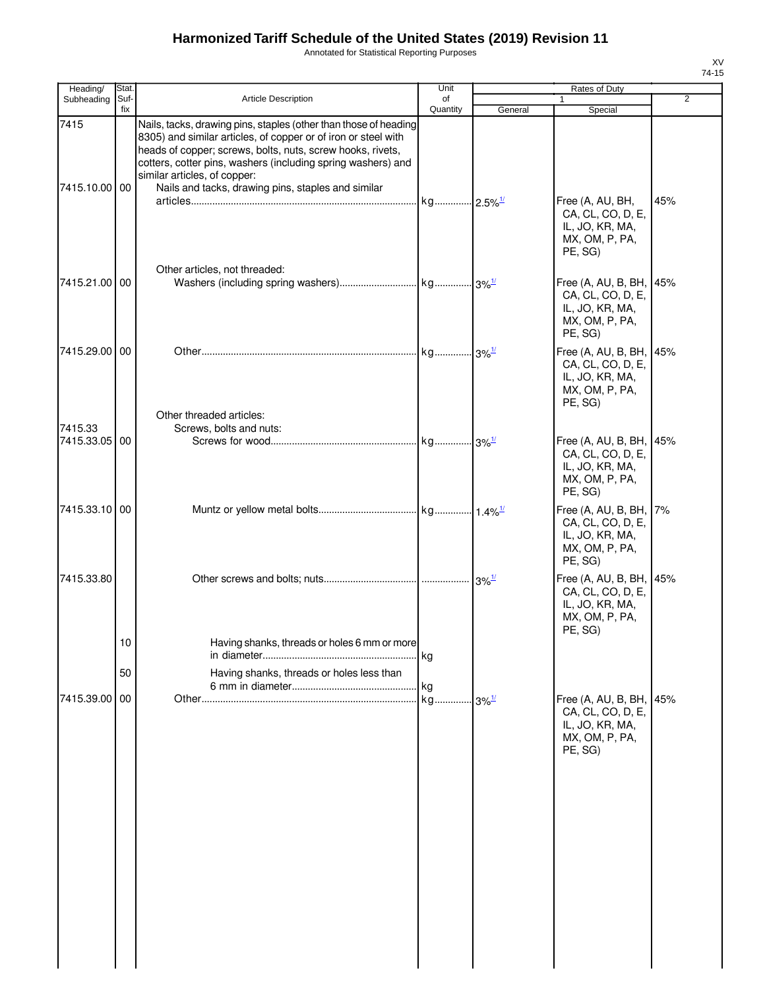Annotated for Statistical Reporting Purposes

| Heading/                 | Stat.       |                                                                                                                                                                                                                                                                                                                                                        | Unit           |                                 | Rates of Duty                                                                                |                |
|--------------------------|-------------|--------------------------------------------------------------------------------------------------------------------------------------------------------------------------------------------------------------------------------------------------------------------------------------------------------------------------------------------------------|----------------|---------------------------------|----------------------------------------------------------------------------------------------|----------------|
| Subheading               | Suf-<br>fix | <b>Article Description</b>                                                                                                                                                                                                                                                                                                                             | of<br>Quantity | General                         | $\mathbf{1}$<br>Special                                                                      | $\overline{2}$ |
| 7415<br>7415.10.00 00    |             | Nails, tacks, drawing pins, staples (other than those of heading<br>8305) and similar articles, of copper or of iron or steel with<br>heads of copper; screws, bolts, nuts, screw hooks, rivets,<br>cotters, cotter pins, washers (including spring washers) and<br>similar articles, of copper:<br>Nails and tacks, drawing pins, staples and similar |                |                                 |                                                                                              |                |
|                          |             | Other articles, not threaded:                                                                                                                                                                                                                                                                                                                          |                |                                 | Free (A, AU, BH,<br>CA, CL, CO, D, E,<br>IL, JO, KR, MA,<br>MX, OM, P, PA,<br>PE, SG)        | 45%            |
| 7415.21.00 00            |             |                                                                                                                                                                                                                                                                                                                                                        |                |                                 | Free (A, AU, B, BH,<br>CA, CL, CO, D, E,<br>IL, JO, KR, MA,<br>MX, OM, P, PA,<br>PE, SG)     | 45%            |
| 7415.29.00 00            |             | Other threaded articles:                                                                                                                                                                                                                                                                                                                               |                |                                 | Free (A, AU, B, BH,<br>CA, CL, CO, D, E,<br>IL, JO, KR, MA,<br>MX, OM, P, PA,<br>PE, SG)     | 45%            |
| 7415.33<br>7415.33.05 00 |             | Screws, bolts and nuts:                                                                                                                                                                                                                                                                                                                                |                |                                 | Free (A, AU, B, BH,<br>CA, CL, CO, D, E,<br>IL, JO, KR, MA,<br>MX, OM, P, PA,<br>PE, SG)     | 45%            |
| 7415.33.10 00            |             |                                                                                                                                                                                                                                                                                                                                                        |                |                                 | Free (A, AU, B, BH,<br>CA, CL, CO, D, E,<br>IL, JO, KR, MA,<br>MX, OM, P, PA,<br>PE, SG)     | 7%             |
| 7415.33.80               |             |                                                                                                                                                                                                                                                                                                                                                        |                |                                 | Free (A, AU, B, BH, 45%<br>CA, CL, CO, D, E,<br>IL, JO, KR, MA,<br>MX, OM, P, PA,<br>PE, SG) |                |
|                          | 10<br>50    | Having shanks, threads or holes 6 mm or more<br>Having shanks, threads or holes less than                                                                                                                                                                                                                                                              | kg             |                                 |                                                                                              |                |
| 7415.39.00               | 00          |                                                                                                                                                                                                                                                                                                                                                        | kg<br>kg       | $\cdot \cdot 3\%$ <sup>1/</sup> | Free (A, AU, B, BH, 45%<br>CA, CL, CO, D, E,<br>IL, JO, KR, MA,<br>MX, OM, P, PA,<br>PE, SG) |                |
|                          |             |                                                                                                                                                                                                                                                                                                                                                        |                |                                 |                                                                                              |                |
|                          |             |                                                                                                                                                                                                                                                                                                                                                        |                |                                 |                                                                                              |                |
|                          |             |                                                                                                                                                                                                                                                                                                                                                        |                |                                 |                                                                                              |                |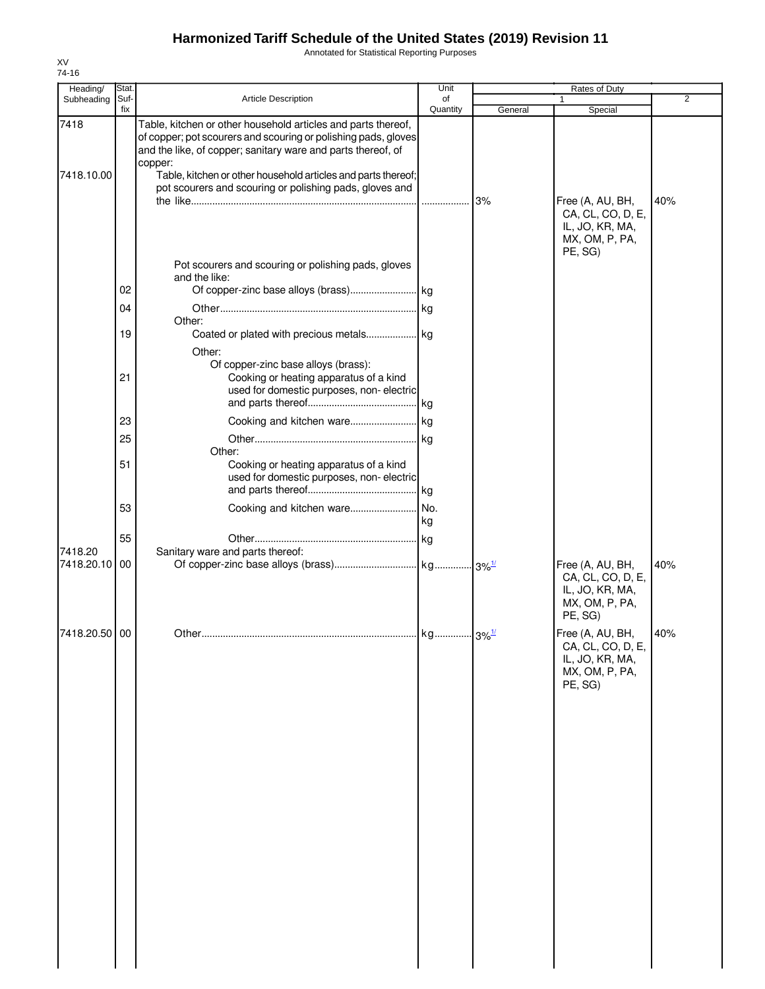Annotated for Statistical Reporting Purposes

| Heading/              | <b>Stat</b> |                                                                                                                                                                                                                                                                             | Unit           | Rates of Duty |                                                                                       |                |  |
|-----------------------|-------------|-----------------------------------------------------------------------------------------------------------------------------------------------------------------------------------------------------------------------------------------------------------------------------|----------------|---------------|---------------------------------------------------------------------------------------|----------------|--|
| Subheading            | Suf-<br>fix | Article Description                                                                                                                                                                                                                                                         | of<br>Quantity | General       | Special                                                                               | $\overline{2}$ |  |
| 7418<br>7418.10.00    |             | Table, kitchen or other household articles and parts thereof,<br>of copper; pot scourers and scouring or polishing pads, gloves<br>and the like, of copper; sanitary ware and parts thereof, of<br>copper:<br>Table, kitchen or other household articles and parts thereof; |                |               |                                                                                       |                |  |
|                       |             | pot scourers and scouring or polishing pads, gloves and<br>Pot scourers and scouring or polishing pads, gloves                                                                                                                                                              |                | 3%            | Free (A, AU, BH,<br>CA, CL, CO, D, E,<br>IL, JO, KR, MA,<br>MX, OM, P, PA,<br>PE, SG) | 40%            |  |
|                       |             | and the like:                                                                                                                                                                                                                                                               |                |               |                                                                                       |                |  |
|                       | 02          |                                                                                                                                                                                                                                                                             |                |               |                                                                                       |                |  |
|                       | 04          | Other:                                                                                                                                                                                                                                                                      |                |               |                                                                                       |                |  |
|                       | 19          | Other:                                                                                                                                                                                                                                                                      |                |               |                                                                                       |                |  |
|                       | 21          | Of copper-zinc base alloys (brass):<br>Cooking or heating apparatus of a kind<br>used for domestic purposes, non-electric                                                                                                                                                   |                |               |                                                                                       |                |  |
|                       | 23          |                                                                                                                                                                                                                                                                             |                |               |                                                                                       |                |  |
|                       | 25          | Other:                                                                                                                                                                                                                                                                      |                |               |                                                                                       |                |  |
|                       | 51          | Cooking or heating apparatus of a kind<br>used for domestic purposes, non-electric                                                                                                                                                                                          |                |               |                                                                                       |                |  |
|                       | 53          |                                                                                                                                                                                                                                                                             | kg             |               |                                                                                       |                |  |
|                       | 55          |                                                                                                                                                                                                                                                                             |                |               |                                                                                       |                |  |
| 7418.20<br>7418.20.10 | 00          | Sanitary ware and parts thereof:                                                                                                                                                                                                                                            |                |               | Free (A, AU, BH,<br>CA, CL, CO, D, E,<br>IL, JO, KR, MA,<br>MX, OM, P, PA,<br>PE, SG) | 40%            |  |
| 7418.20.50 00         |             |                                                                                                                                                                                                                                                                             |                |               | Free (A, AU, BH,<br>CA, CL, CO, D, E,<br>IL, JO, KR, MA,<br>MX, OM, P, PA,<br>PE, SG) | 40%            |  |
|                       |             |                                                                                                                                                                                                                                                                             |                |               |                                                                                       |                |  |
|                       |             |                                                                                                                                                                                                                                                                             |                |               |                                                                                       |                |  |
|                       |             |                                                                                                                                                                                                                                                                             |                |               |                                                                                       |                |  |
|                       |             |                                                                                                                                                                                                                                                                             |                |               |                                                                                       |                |  |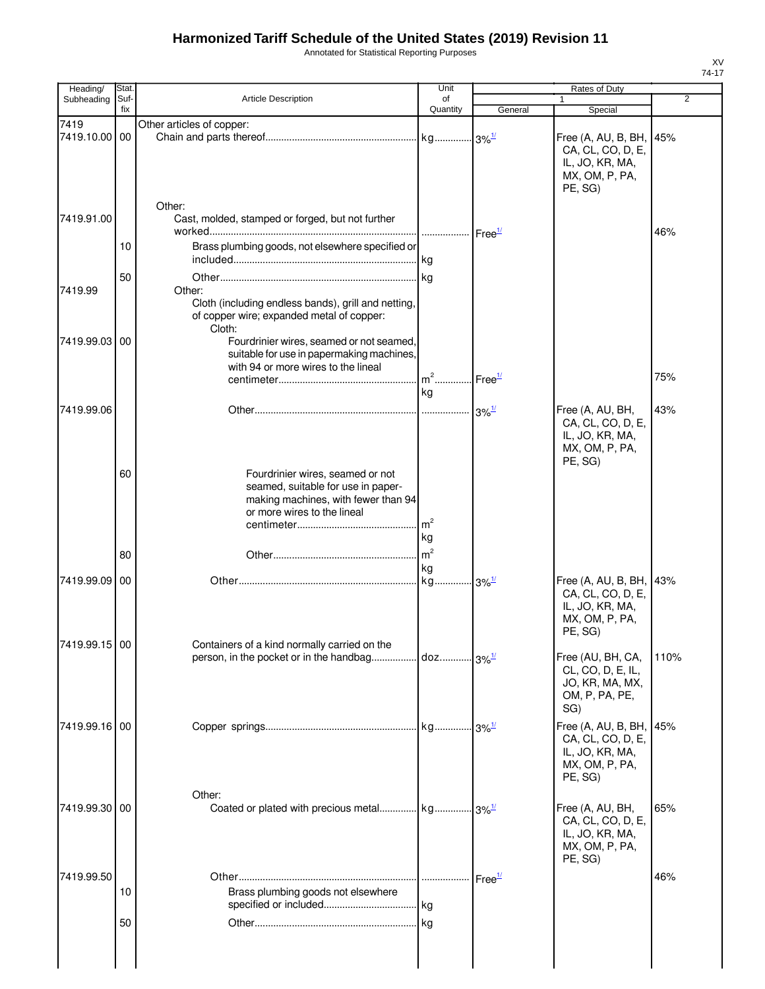Annotated for Statistical Reporting Purposes

| Heading/              | <b>Stat</b> |                                                                                                                                              | Unit                 |                                           | Rates of Duty                                                                                |                |
|-----------------------|-------------|----------------------------------------------------------------------------------------------------------------------------------------------|----------------------|-------------------------------------------|----------------------------------------------------------------------------------------------|----------------|
| Subheading            | Suf-<br>fix | <b>Article Description</b>                                                                                                                   | of<br>Quantity       | General                                   | $\mathbf{1}$<br>Special                                                                      | $\overline{2}$ |
| 7419<br>7419.10.00 00 |             | Other articles of copper:                                                                                                                    |                      |                                           | Free (A, AU, B, BH, 45%<br>CA, CL, CO, D, E,<br>IL, JO, KR, MA,<br>MX, OM, P, PA,<br>PE, SG) |                |
| 7419.91.00            |             | Other:<br>Cast, molded, stamped or forged, but not further                                                                                   |                      |                                           |                                                                                              | 46%            |
|                       | 10          | Brass plumbing goods, not elsewhere specified or                                                                                             |                      |                                           |                                                                                              |                |
| 7419.99               | 50          | Other:<br>Cloth (including endless bands), grill and netting,<br>of copper wire; expanded metal of copper:<br>Cloth:                         |                      |                                           |                                                                                              |                |
| 7419.99.03 00         |             | Fourdrinier wires, seamed or not seamed,<br>suitable for use in papermaking machines,<br>with 94 or more wires to the lineal                 | $m2$                 | Free <sup>1/</sup>                        |                                                                                              | 75%            |
|                       |             |                                                                                                                                              | kg                   |                                           |                                                                                              |                |
| 7419.99.06            |             |                                                                                                                                              |                      | $3\%$ <sup><math>\frac{1}{2}</math></sup> | Free (A, AU, BH,<br>CA, CL, CO, D, E,<br>IL, JO, KR, MA,<br>MX, OM, P, PA,<br>PE, SG)        | 43%            |
|                       | 60          | Fourdrinier wires, seamed or not<br>seamed, suitable for use in paper-<br>making machines, with fewer than 94<br>or more wires to the lineal | m <sup>2</sup><br>kg |                                           |                                                                                              |                |
|                       | 80          |                                                                                                                                              | m <sup>2</sup>       |                                           |                                                                                              |                |
| 7419.99.09 00         |             |                                                                                                                                              | kg<br>kg             | $3\%$ <sup>1/</sup>                       | Free (A, AU, B, BH, 43%<br>CA, CL, CO, D, E,<br>IL, JO, KR, MA,<br>MX, OM, P, PA,<br>PE, SG) |                |
| 7419.99.15 00         |             | Containers of a kind normally carried on the                                                                                                 |                      |                                           | Free (AU, BH, CA,<br>CL, CO, D, E, IL,<br>JO, KR, MA, MX,<br>OM, P, PA, PE,<br>SG)           | 110%           |
| 7419.99.16 00         |             |                                                                                                                                              |                      |                                           | Free (A, AU, B, BH,<br>CA, CL, CO, D, E,<br>IL, JO, KR, MA,<br>MX, OM, P, PA,<br>PE, SG)     | 45%            |
| 7419.99.30 00         |             | Other:<br>Coated or plated with precious metal kg 3% <sup>1/</sup>                                                                           |                      |                                           | Free (A, AU, BH,<br>CA, CL, CO, D, E,<br>IL, JO, KR, MA,<br>MX, OM, P, PA,<br>PE, SG)        | 65%            |
| 7419.99.50            | 10          | Brass plumbing goods not elsewhere                                                                                                           |                      | Free <sup>1/</sup>                        |                                                                                              | 46%            |
|                       | 50          |                                                                                                                                              |                      |                                           |                                                                                              |                |
|                       |             |                                                                                                                                              |                      |                                           |                                                                                              |                |